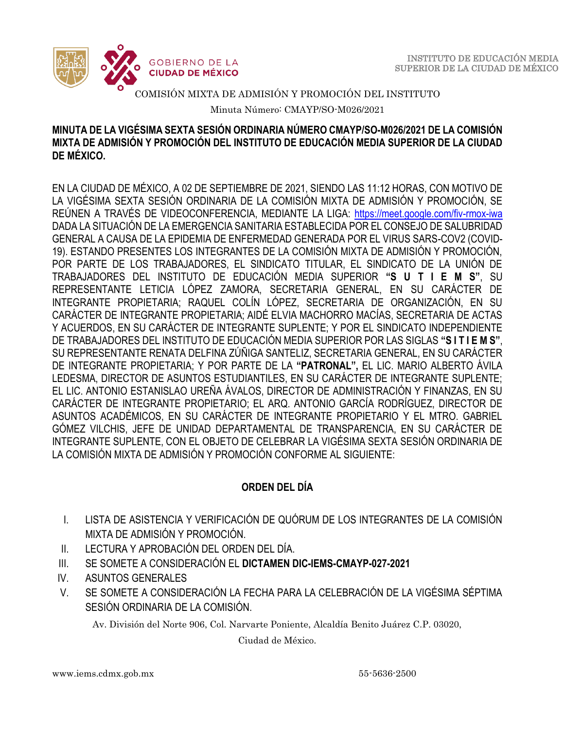

Minuta Número: CMAYP/SO-M026/2021

### **MINUTA DE LA VIGÉSIMA SEXTA SESIÓN ORDINARIA NÚMERO CMAYP/SO-M026/2021 DE LA COMISIÓN MIXTA DE ADMISIÓN Y PROMOCIÓN DEL INSTITUTO DE EDUCACIÓN MEDIA SUPERIOR DE LA CIUDAD DE MÉXICO.**

EN LA CIUDAD DE MÉXICO, A 02 DE SEPTIEMBRE DE 2021, SIENDO LAS 11:12 HORAS, CON MOTIVO DE LA VIGÉSIMA SEXTA SESIÓN ORDINARIA DE LA COMISIÓN MIXTA DE ADMISIÓN Y PROMOCIÓN, SE REÚNEN A TRAVÉS DE VIDEOCONFERENCIA, MEDIANTE LA LIGA: <https://meet.google.com/fiv-rmox-iwa> DADA LA SITUACIÓN DE LA EMERGENCIA SANITARIA ESTABLECIDA POR EL CONSEJO DE SALUBRIDAD GENERAL A CAUSA DE LA EPIDEMIA DE ENFERMEDAD GENERADA POR EL VIRUS SARS-COV2 (COVID-19). ESTANDO PRESENTES LOS INTEGRANTES DE LA COMISIÓN MIXTA DE ADMISIÓN Y PROMOCIÓN, POR PARTE DE LOS TRABAJADORES, EL SINDICATO TITULAR, EL SINDICATO DE LA UNIÓN DE TRABAJADORES DEL INSTITUTO DE EDUCACIÓN MEDIA SUPERIOR **"S U T I E M S"**, SU REPRESENTANTE LETICIA LÓPEZ ZAMORA, SECRETARIA GENERAL, EN SU CARÁCTER DE INTEGRANTE PROPIETARIA; RAQUEL COLÍN LÓPEZ, SECRETARIA DE ORGANIZACIÓN, EN SU CARÁCTER DE INTEGRANTE PROPIETARIA; AIDÉ ELVIA MACHORRO MACÍAS, SECRETARIA DE ACTAS Y ACUERDOS, EN SU CARÁCTER DE INTEGRANTE SUPLENTE; Y POR EL SINDICATO INDEPENDIENTE DE TRABAJADORES DEL INSTITUTO DE EDUCACIÓN MEDIA SUPERIOR POR LAS SIGLAS **"S I T I E M S"**, SU REPRESENTANTE RENATA DELFINA ZÚÑIGA SANTELIZ, SECRETARIA GENERAL, EN SU CARÁCTER DE INTEGRANTE PROPIETARIA; Y POR PARTE DE LA **"PATRONAL",** EL LIC. MARIO ALBERTO ÁVILA LEDESMA, DIRECTOR DE ASUNTOS ESTUDIANTILES, EN SU CARÁCTER DE INTEGRANTE SUPLENTE; EL LIC. ANTONIO ESTANISLAO UREÑA ÁVALOS, DIRECTOR DE ADMINISTRACIÓN Y FINANZAS, EN SU CARÁCTER DE INTEGRANTE PROPIETARIO; EL ARQ. ANTONIO GARCÍA RODRÍGUEZ, DIRECTOR DE ASUNTOS ACADÉMICOS, EN SU CARÁCTER DE INTEGRANTE PROPIETARIO Y EL MTRO. GABRIEL GÓMEZ VILCHIS, JEFE DE UNIDAD DEPARTAMENTAL DE TRANSPARENCIA, EN SU CARÁCTER DE INTEGRANTE SUPLENTE, CON EL OBJETO DE CELEBRAR LA VIGÉSIMA SEXTA SESIÓN ORDINARIA DE LA COMISIÓN MIXTA DE ADMISIÓN Y PROMOCIÓN CONFORME AL SIGUIENTE:

## **ORDEN DEL DÍA**

- I. LISTA DE ASISTENCIA Y VERIFICACIÓN DE QUÓRUM DE LOS INTEGRANTES DE LA COMISIÓN MIXTA DE ADMISIÓN Y PROMOCIÓN.
- II. LECTURA Y APROBACIÓN DEL ORDEN DEL DÍA.
- III. SE SOMETE A CONSIDERACIÓN EL **DICTAMEN DIC-IEMS-CMAYP-027-2021**
- IV. ASUNTOS GENERALES
- V. SE SOMETE A CONSIDERACIÓN LA FECHA PARA LA CELEBRACIÓN DE LA VIGÉSIMA SÉPTIMA SESIÓN ORDINARIA DE LA COMISIÓN.

Av. División del Norte 906, Col. Narvarte Poniente, Alcaldía Benito Juárez C.P. 03020,

Ciudad de México.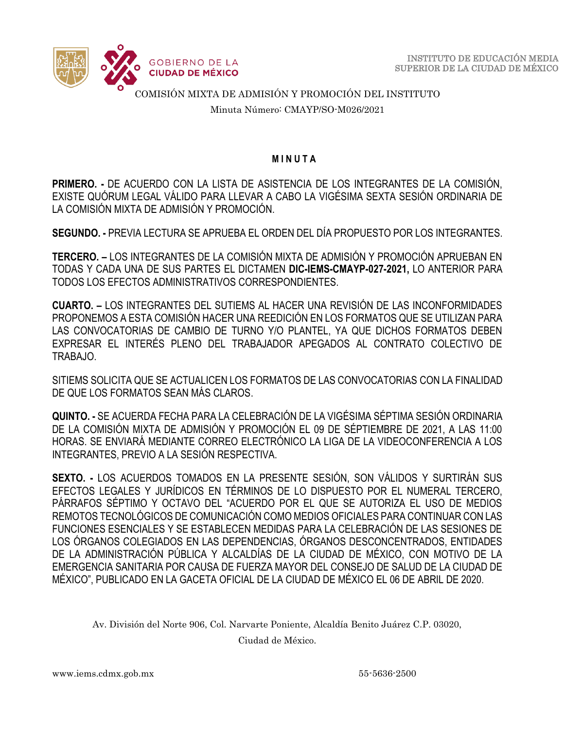

Minuta Número: CMAYP/SO-M026/2021

#### **M I N U T A**

**PRIMERO. -** DE ACUERDO CON LA LISTA DE ASISTENCIA DE LOS INTEGRANTES DE LA COMISIÓN, EXISTE QUÓRUM LEGAL VÁLIDO PARA LLEVAR A CABO LA VIGÉSIMA SEXTA SESIÓN ORDINARIA DE LA COMISIÓN MIXTA DE ADMISIÓN Y PROMOCIÓN.

**SEGUNDO. -** PREVIA LECTURA SE APRUEBA EL ORDEN DEL DÍA PROPUESTO POR LOS INTEGRANTES.

**TERCERO. –** LOS INTEGRANTES DE LA COMISIÓN MIXTA DE ADMISIÓN Y PROMOCIÓN APRUEBAN EN TODAS Y CADA UNA DE SUS PARTES EL DICTAMEN **DIC-IEMS-CMAYP-027-2021,** LO ANTERIOR PARA TODOS LOS EFECTOS ADMINISTRATIVOS CORRESPONDIENTES.

**CUARTO. –** LOS INTEGRANTES DEL SUTIEMS AL HACER UNA REVISIÓN DE LAS INCONFORMIDADES PROPONEMOS A ESTA COMISIÓN HACER UNA REEDICIÓN EN LOS FORMATOS QUE SE UTILIZAN PARA LAS CONVOCATORIAS DE CAMBIO DE TURNO Y/O PLANTEL, YA QUE DICHOS FORMATOS DEBEN EXPRESAR EL INTERÉS PLENO DEL TRABAJADOR APEGADOS AL CONTRATO COLECTIVO DE TRABAJO.

SITIEMS SOLICITA QUE SE ACTUALICEN LOS FORMATOS DE LAS CONVOCATORIAS CON LA FINALIDAD DE QUE LOS FORMATOS SEAN MÁS CLAROS.

**QUINTO. -** SE ACUERDA FECHA PARA LA CELEBRACIÓN DE LA VIGÉSIMA SÉPTIMA SESIÓN ORDINARIA DE LA COMISIÓN MIXTA DE ADMISIÓN Y PROMOCIÓN EL 09 DE SÉPTIEMBRE DE 2021, A LAS 11:00 HORAS. SE ENVIARÁ MEDIANTE CORREO ELECTRÓNICO LA LIGA DE LA VIDEOCONFERENCIA A LOS INTEGRANTES, PREVIO A LA SESIÓN RESPECTIVA.

**SEXTO. -** LOS ACUERDOS TOMADOS EN LA PRESENTE SESIÓN, SON VÁLIDOS Y SURTIRÁN SUS EFECTOS LEGALES Y JURÍDICOS EN TÉRMINOS DE LO DISPUESTO POR EL NUMERAL TERCERO, PÁRRAFOS SÉPTIMO Y OCTAVO DEL "ACUERDO POR EL QUE SE AUTORIZA EL USO DE MEDIOS REMOTOS TECNOLÓGICOS DE COMUNICACIÓN COMO MEDIOS OFICIALES PARA CONTINUAR CON LAS FUNCIONES ESENCIALES Y SE ESTABLECEN MEDIDAS PARA LA CELEBRACIÓN DE LAS SESIONES DE LOS ÓRGANOS COLEGIADOS EN LAS DEPENDENCIAS, ÓRGANOS DESCONCENTRADOS, ENTIDADES DE LA ADMINISTRACIÓN PÚBLICA Y ALCALDÍAS DE LA CIUDAD DE MÉXICO, CON MOTIVO DE LA EMERGENCIA SANITARIA POR CAUSA DE FUERZA MAYOR DEL CONSEJO DE SALUD DE LA CIUDAD DE MÉXICO", PUBLICADO EN LA GACETA OFICIAL DE LA CIUDAD DE MÉXICO EL 06 DE ABRIL DE 2020.

Av. División del Norte 906, Col. Narvarte Poniente, Alcaldía Benito Juárez C.P. 03020,

Ciudad de México.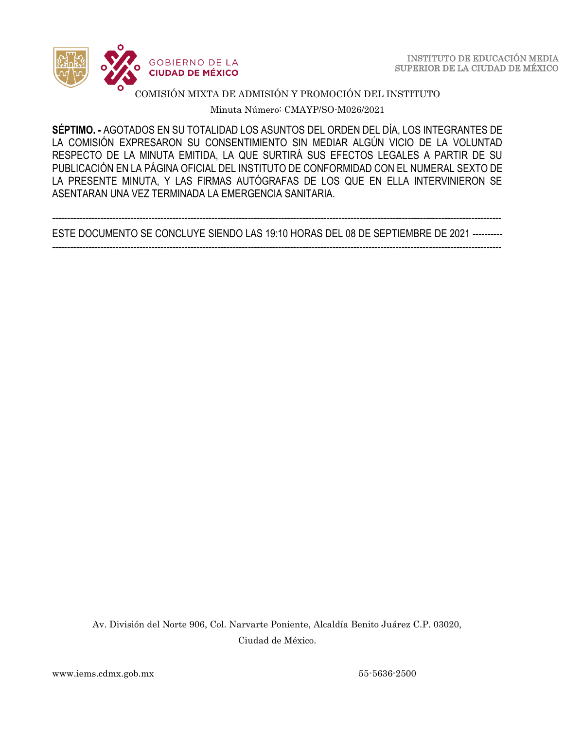

Minuta Número: CMAYP/SO-M026/2021

 **SÉPTIMO. -** AGOTADOS EN SU TOTALIDAD LOS ASUNTOS DEL ORDEN DEL DÍA, LOS INTEGRANTES DE LA COMISIÓN EXPRESARON SU CONSENTIMIENTO SIN MEDIAR ALGÚN VICIO DE LA VOLUNTAD RESPECTO DE LA MINUTA EMITIDA, LA QUE SURTIRÁ SUS EFECTOS LEGALES A PARTIR DE SU PUBLICACIÓN EN LA PÁGINA OFICIAL DEL INSTITUTO DE CONFORMIDAD CON EL NUMERAL SEXTO DE LA PRESENTE MINUTA, Y LAS FIRMAS AUTÓGRAFAS DE LOS QUE EN ELLA INTERVINIERON SE ASENTARAN UNA VEZ TERMINADA LA EMERGENCIA SANITARIA.

----------------------------------------------------------------------------------------------------------------------------------------------------- ESTE DOCUMENTO SE CONCLUYE SIENDO LAS 19:10 HORAS DEL 08 DE SEPTIEMBRE DE 2021 ----------

-----------------------------------------------------------------------------------------------------------------------------------------------------

Av. División del Norte 906, Col. Narvarte Poniente, Alcaldía Benito Juárez C.P. 03020, Ciudad de México.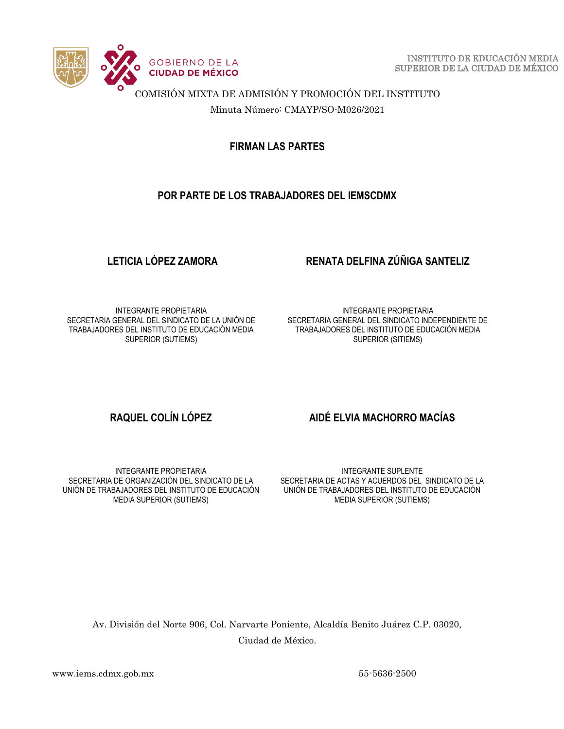

 INSTITUTO DE EDUCACIÓN MEDIA SUPERIOR DE LA CIUDAD DE MÉXICO

COMISIÓN MIXTA DE ADMISIÓN Y PROMOCIÓN DEL INSTITUTO

Minuta Número: CMAYP/SO-M026/2021

**FIRMAN LAS PARTES**

## **POR PARTE DE LOS TRABAJADORES DEL IEMSCDMX**

## **LETICIA LÓPEZ ZAMORA RENATA DELFINA ZÚÑIGA SANTELIZ**

INTEGRANTE PROPIETARIA SECRETARIA GENERAL DEL SINDICATO DE LA UNIÓN DE TRABAJADORES DEL INSTITUTO DE EDUCACIÓN MEDIA SUPERIOR (SUTIEMS)

INTEGRANTE PROPIETARIA SECRETARIA GENERAL DEL SINDICATO INDEPENDIENTE DE TRABAJADORES DEL INSTITUTO DE EDUCACIÓN MEDIA SUPERIOR (SITIEMS)

INTEGRANTE PROPIETARIA SECRETARIA DE ORGANIZACIÓN DEL SINDICATO DE LA UNIÓN DE TRABAJADORES DEL INSTITUTO DE EDUCACIÓN MEDIA SUPERIOR (SUTIEMS)

## **RAQUEL COLÍN LÓPEZ AIDÉ ELVIA MACHORRO MACÍAS**

INTEGRANTE SUPLENTE SECRETARIA DE ACTAS Y ACUERDOS DEL SINDICATO DE LA UNIÓN DE TRABAJADORES DEL INSTITUTO DE EDUCACIÓN MEDIA SUPERIOR (SUTIEMS)

Av. División del Norte 906, Col. Narvarte Poniente, Alcaldía Benito Juárez C.P. 03020, Ciudad de México.